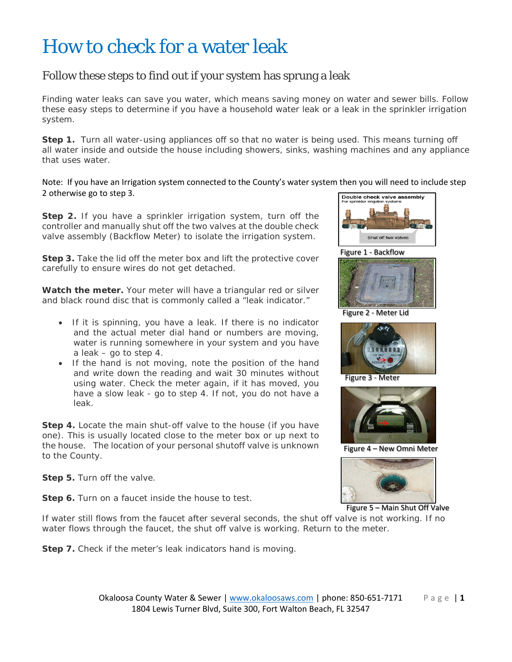## How to check for a water leak

## Follow these steps to find out if your system has sprung a leak

 Finding water leaks can save you water, which means saving money on water and sewer bills. Follow these easy steps to determine if you have a household water leak or a leak in the sprinkler irrigation system.

 **Step 1.** Turn all water-using appliances off so that no water is being used. This means turning off all water inside and outside the house including showers, sinks, washing machines and any appliance that uses water.

 Note: If you have an Irrigation system connected to the County's water system then you will need to include step 2 otherwise go to step 3.

 **Step 2.** If you have a sprinkler irrigation system, turn off the controller and manually shut off the two valves at the double check valve assembly (Backflow Meter) to isolate the irrigation system.

**Step 3.** Take the lid off the meter box and lift the protective cover carefully to ensure wires do not get detached.

Watch the meter. Your meter will have a triangular red or silver and black round disc that is commonly called a "leak indicator."

- water is running somewhere in your system and you have a leak – go to step 4. • If it is spinning, you have a leak. If there is no indicator and the actual meter dial hand or numbers are moving,
- and write down the reading and wait 30 minutes without have a slow leak - go to step 4. If not, you do not have a • If the hand is not moving, note the position of the hand using water. Check the meter again, if it has moved, you leak.

 **Step 4.** Locate the main shut-off valve to the house (if you have one). This is usually located close to the meter box or up next to the house. The location of your personal shutoff valve is unknown to the County.

**Step 5.** Turn off the valve.

**Step 6.** Turn on a faucet inside the house to test.



Figure 1 - Backflow



Figure 2 - Meter Lid



Figure 3 - Meter



Figure 4 – New Omni Meter



Figure 5 - Main Shut Off Valve

 If water still flows from the faucet after several seconds, the shut off valve is not working. If no water flows through the faucet, the shut off valve is working. Return to the meter.

**Step 7.** Check if the meter's leak indicators hand is moving.